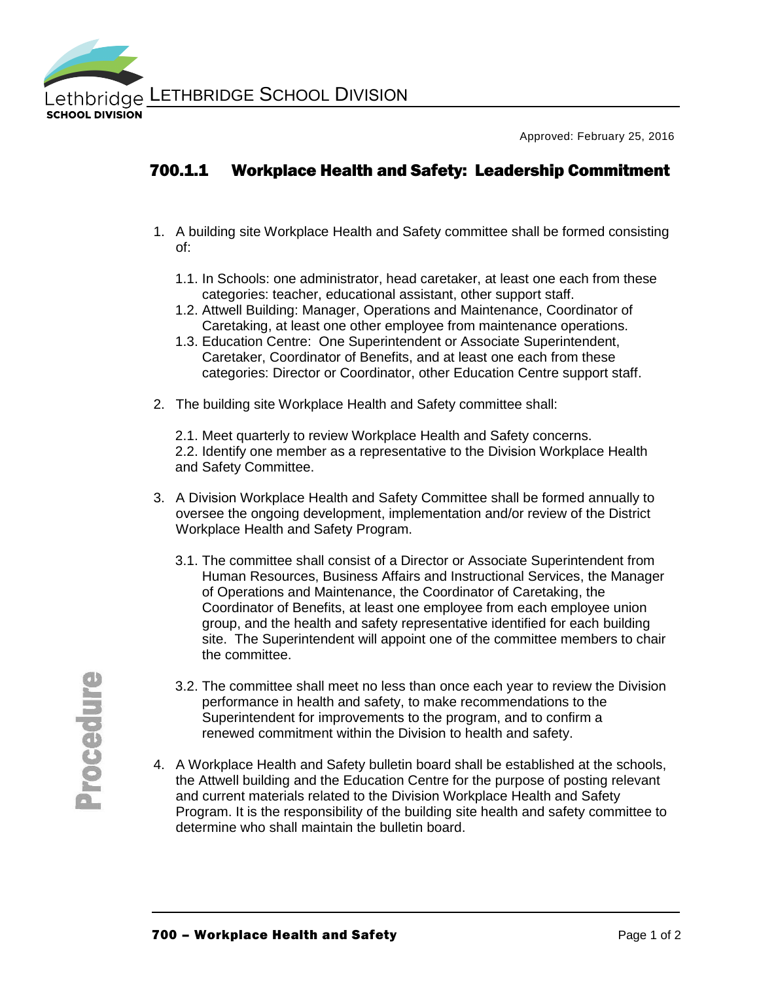

Approved: February 25, 2016

## 700.1.1 Workplace Health and Safety: Leadership Commitment

- 1. A building site Workplace Health and Safety committee shall be formed consisting of:
	- 1.1. In Schools: one administrator, head caretaker, at least one each from these categories: teacher, educational assistant, other support staff.
	- 1.2. Attwell Building: Manager, Operations and Maintenance, Coordinator of Caretaking, at least one other employee from maintenance operations.
	- 1.3. Education Centre: One Superintendent or Associate Superintendent, Caretaker, Coordinator of Benefits, and at least one each from these categories: Director or Coordinator, other Education Centre support staff.
- 2. The building site Workplace Health and Safety committee shall:

2.1. Meet quarterly to review Workplace Health and Safety concerns. 2.2. Identify one member as a representative to the Division Workplace Health and Safety Committee.

- 3. A Division Workplace Health and Safety Committee shall be formed annually to oversee the ongoing development, implementation and/or review of the District Workplace Health and Safety Program.
	- 3.1. The committee shall consist of a Director or Associate Superintendent from Human Resources, Business Affairs and Instructional Services, the Manager of Operations and Maintenance, the Coordinator of Caretaking, the Coordinator of Benefits, at least one employee from each employee union group, and the health and safety representative identified for each building site. The Superintendent will appoint one of the committee members to chair the committee.
	- 3.2. The committee shall meet no less than once each year to review the Division performance in health and safety, to make recommendations to the Superintendent for improvements to the program, and to confirm a renewed commitment within the Division to health and safety.
- 4. A Workplace Health and Safety bulletin board shall be established at the schools, the Attwell building and the Education Centre for the purpose of posting relevant and current materials related to the Division Workplace Health and Safety Program. It is the responsibility of the building site health and safety committee to determine who shall maintain the bulletin board.

**Procedure**